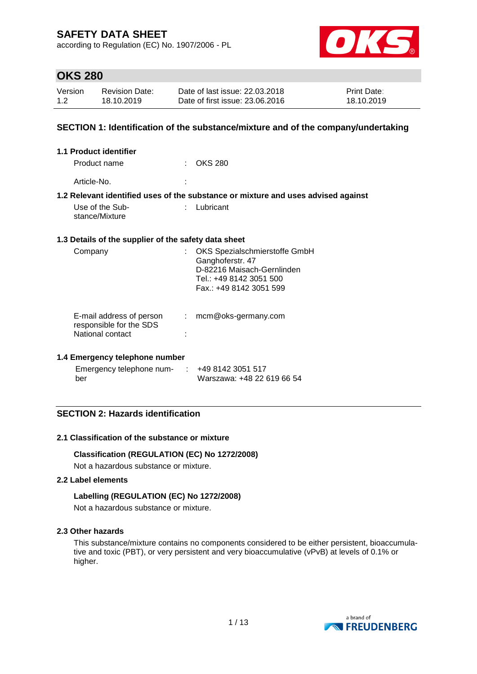according to Regulation (EC) No. 1907/2006 - PL



## **OKS 280**

| Version | <b>Revision Date:</b> | Date of last issue: 22.03.2018  | <b>Print Date:</b> |
|---------|-----------------------|---------------------------------|--------------------|
| 1.2     | 18.10.2019            | Date of first issue: 23,06,2016 | 18.10.2019         |

### **SECTION 1: Identification of the substance/mixture and of the company/undertaking**

| 1.1 Product identifier                                                  |                                                                                                                                       |  |
|-------------------------------------------------------------------------|---------------------------------------------------------------------------------------------------------------------------------------|--|
| Product name                                                            | <b>OKS 280</b>                                                                                                                        |  |
| Article-No.                                                             |                                                                                                                                       |  |
|                                                                         | 1.2 Relevant identified uses of the substance or mixture and uses advised against                                                     |  |
| Use of the Sub-<br>stance/Mixture                                       | Lubricant                                                                                                                             |  |
| 1.3 Details of the supplier of the safety data sheet                    |                                                                                                                                       |  |
| Company                                                                 | OKS Spezialschmierstoffe GmbH<br>Ganghoferstr. 47<br>D-82216 Maisach-Gernlinden<br>Tel.: +49 8142 3051 500<br>Fax.: +49 8142 3051 599 |  |
| E-mail address of person<br>responsible for the SDS<br>National contact | mcm@oks-germany.com<br>÷                                                                                                              |  |

### **1.4 Emergency telephone number**

| Emergency telephone num- | +49 8142 3051 517          |
|--------------------------|----------------------------|
| ber                      | Warszawa: +48 22 619 66 54 |

## **SECTION 2: Hazards identification**

### **2.1 Classification of the substance or mixture**

#### **Classification (REGULATION (EC) No 1272/2008)**

Not a hazardous substance or mixture.

### **2.2 Label elements**

### **Labelling (REGULATION (EC) No 1272/2008)**

Not a hazardous substance or mixture.

#### **2.3 Other hazards**

This substance/mixture contains no components considered to be either persistent, bioaccumulative and toxic (PBT), or very persistent and very bioaccumulative (vPvB) at levels of 0.1% or higher.

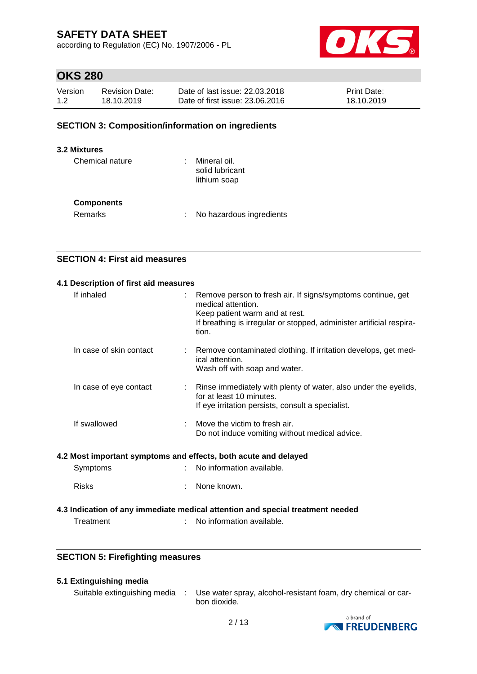according to Regulation (EC) No. 1907/2006 - PL



# **OKS 280**

| Version | <b>Revision Date:</b> | Date of last issue: 22.03.2018  | <b>Print Date:</b> |
|---------|-----------------------|---------------------------------|--------------------|
| 1.2     | 18.10.2019            | Date of first issue: 23,06,2016 | 18.10.2019         |

### **SECTION 3: Composition/information on ingredients**

#### **3.2 Mixtures**

| Chemical nature   | Mineral oil.<br>solid lubricant<br>lithium soap |
|-------------------|-------------------------------------------------|
| <b>Components</b> |                                                 |
| Remarks           | No hazardous ingredients                        |

### **SECTION 4: First aid measures**

# **4.1 Description of first aid measures** If inhaled : Remove person to fresh air. If signs/symptoms continue, get medical attention. Keep patient warm and at rest. If breathing is irregular or stopped, administer artificial respiration. In case of skin contact : Remove contaminated clothing. If irritation develops, get medical attention. Wash off with soap and water. In case of eye contact : Rinse immediately with plenty of water, also under the eyelids, for at least 10 minutes. If eye irritation persists, consult a specialist. If swallowed : Move the victim to fresh air. Do not induce vomiting without medical advice.

### **4.2 Most important symptoms and effects, both acute and delayed**

| Symptoms | No information available. |
|----------|---------------------------|
|----------|---------------------------|

Risks : None known.

## **4.3 Indication of any immediate medical attention and special treatment needed**

Treatment : No information available.

### **SECTION 5: Firefighting measures**

#### **5.1 Extinguishing media**

Suitable extinguishing media : Use water spray, alcohol-resistant foam, dry chemical or carbon dioxide.

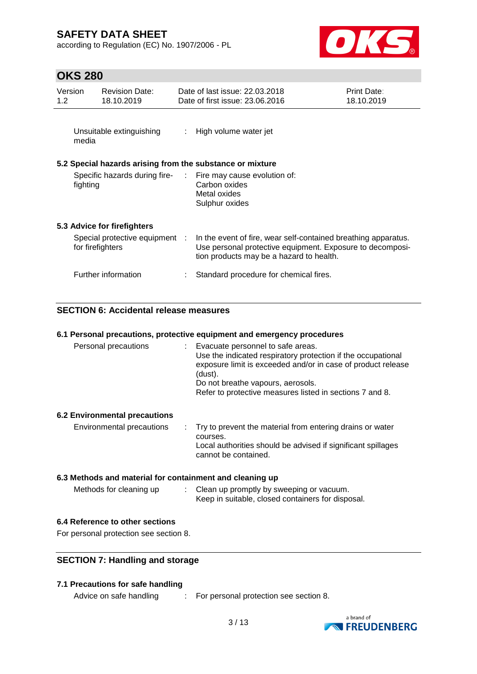according to Regulation (EC) No. 1907/2006 - PL



# **OKS 280**

| Version<br>1.2 <sub>2</sub> |          | <b>Revision Date:</b><br>18.10.2019                |                            | Date of last issue: 22.03.2018<br>Date of first issue: 23.06.2016                                                                                                       | <b>Print Date:</b><br>18.10.2019 |
|-----------------------------|----------|----------------------------------------------------|----------------------------|-------------------------------------------------------------------------------------------------------------------------------------------------------------------------|----------------------------------|
|                             | media    | Unsuitable extinguishing                           | $\mathcal{L}^{\text{max}}$ | High volume water jet                                                                                                                                                   |                                  |
|                             |          |                                                    |                            | 5.2 Special hazards arising from the substance or mixture                                                                                                               |                                  |
|                             | fighting |                                                    |                            | Specific hazards during fire- : Fire may cause evolution of:<br>Carbon oxides<br>Metal oxides<br>Sulphur oxides                                                         |                                  |
|                             |          | 5.3 Advice for firefighters                        |                            |                                                                                                                                                                         |                                  |
|                             |          | Special protective equipment :<br>for firefighters |                            | In the event of fire, wear self-contained breathing apparatus.<br>Use personal protective equipment. Exposure to decomposi-<br>tion products may be a hazard to health. |                                  |
|                             |          | Further information                                |                            | Standard procedure for chemical fires.                                                                                                                                  |                                  |

## **SECTION 6: Accidental release measures**

|                      | 6.1 Personal precautions, protective equipment and emergency procedures                                                                                                                                                                                                       |
|----------------------|-------------------------------------------------------------------------------------------------------------------------------------------------------------------------------------------------------------------------------------------------------------------------------|
| Personal precautions | Evacuate personnel to safe areas.<br>Use the indicated respiratory protection if the occupational<br>exposure limit is exceeded and/or in case of product release<br>(dust).<br>Do not breathe vapours, aerosols.<br>Refer to protective measures listed in sections 7 and 8. |
|                      |                                                                                                                                                                                                                                                                               |

### **6.2 Environmental precautions**

| Environmental precautions | . Try to prevent the material from entering drains or water<br>courses.              |
|---------------------------|--------------------------------------------------------------------------------------|
|                           | Local authorities should be advised if significant spillages<br>cannot be contained. |

### **6.3 Methods and material for containment and cleaning up**

| Methods for cleaning up | Clean up promptly by sweeping or vacuum.          |
|-------------------------|---------------------------------------------------|
|                         | Keep in suitable, closed containers for disposal. |

### **6.4 Reference to other sections**

For personal protection see section 8.

## **SECTION 7: Handling and storage**

### **7.1 Precautions for safe handling**

Advice on safe handling : For personal protection see section 8.

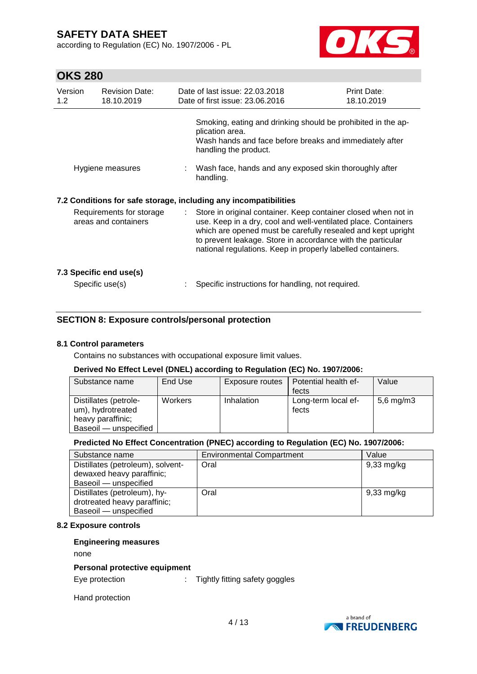according to Regulation (EC) No. 1907/2006 - PL



# **OKS 280**

| Version<br>1.2                                                                                                       | <b>Revision Date:</b><br>18.10.2019        |               | Date of last issue: 22.03.2018<br>Date of first issue: 23.06.2016                                                                                                                                                                                                                                                              | Print Date:<br>18.10.2019 |  |
|----------------------------------------------------------------------------------------------------------------------|--------------------------------------------|---------------|--------------------------------------------------------------------------------------------------------------------------------------------------------------------------------------------------------------------------------------------------------------------------------------------------------------------------------|---------------------------|--|
|                                                                                                                      |                                            |               | Smoking, eating and drinking should be prohibited in the ap-<br>plication area.<br>Wash hands and face before breaks and immediately after<br>handling the product.                                                                                                                                                            |                           |  |
| Hygiene measures                                                                                                     |                                            |               | : Wash face, hands and any exposed skin thoroughly after<br>handling.                                                                                                                                                                                                                                                          |                           |  |
| 7.2 Conditions for safe storage, including any incompatibilities<br>Requirements for storage<br>areas and containers |                                            | $\mathcal{L}$ | Store in original container. Keep container closed when not in<br>use. Keep in a dry, cool and well-ventilated place. Containers<br>which are opened must be carefully resealed and kept upright<br>to prevent leakage. Store in accordance with the particular<br>national regulations. Keep in properly labelled containers. |                           |  |
|                                                                                                                      | 7.3 Specific end use(s)<br>Specific use(s) |               | Specific instructions for handling, not required.                                                                                                                                                                                                                                                                              |                           |  |

## **SECTION 8: Exposure controls/personal protection**

### **8.1 Control parameters**

Contains no substances with occupational exposure limit values.

#### **Derived No Effect Level (DNEL) according to Regulation (EC) No. 1907/2006:**

| Substance name                                                                           | End Use | Exposure routes | Potential health ef-         | Value          |
|------------------------------------------------------------------------------------------|---------|-----------------|------------------------------|----------------|
|                                                                                          |         |                 | fects                        |                |
| Distillates (petrole-<br>um), hydrotreated<br>heavy paraffinic;<br>Baseoil - unspecified | Workers | Inhalation      | Long-term local ef-<br>fects | $5,6$ mg/m $3$ |

### **Predicted No Effect Concentration (PNEC) according to Regulation (EC) No. 1907/2006:**

| Substance name                    | <b>Environmental Compartment</b> | Value      |
|-----------------------------------|----------------------------------|------------|
| Distillates (petroleum), solvent- | Oral                             | 9,33 mg/kg |
| dewaxed heavy paraffinic;         |                                  |            |
| Baseoil - unspecified             |                                  |            |
| Distillates (petroleum), hy-      | Oral                             | 9,33 mg/kg |
| drotreated heavy paraffinic;      |                                  |            |
| Baseoil - unspecified             |                                  |            |

#### **8.2 Exposure controls**

### **Engineering measures**

none

#### **Personal protective equipment**

Eye protection  $\qquad \qquad : \qquad$  Tightly fitting safety goggles

Hand protection

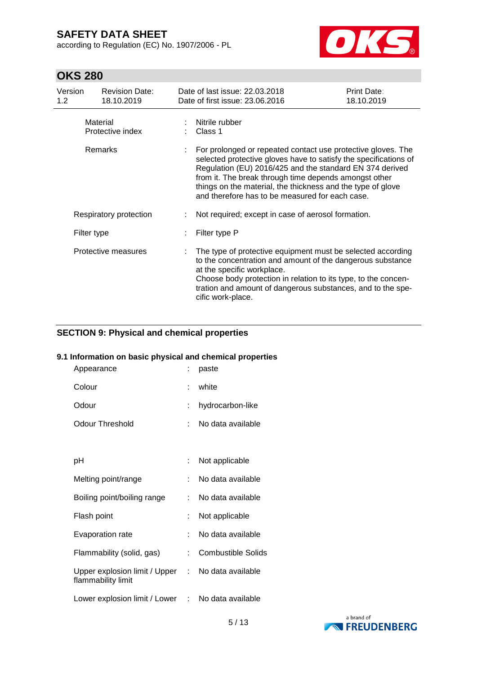according to Regulation (EC) No. 1907/2006 - PL



# **OKS 280**

| Version<br>1.2 <sub>2</sub>  | <b>Revision Date:</b><br>18.10.2019 |                                                                                                                                                                                                                                                                                                                                                                         | Date of last issue: 22.03.2018<br>Date of first issue: 23.06.2016                                                                                                                                                                                                                                             | <b>Print Date:</b><br>18.10.2019 |
|------------------------------|-------------------------------------|-------------------------------------------------------------------------------------------------------------------------------------------------------------------------------------------------------------------------------------------------------------------------------------------------------------------------------------------------------------------------|---------------------------------------------------------------------------------------------------------------------------------------------------------------------------------------------------------------------------------------------------------------------------------------------------------------|----------------------------------|
|                              | Material<br>Protective index        |                                                                                                                                                                                                                                                                                                                                                                         | : Nitrile rubber<br>Class 1                                                                                                                                                                                                                                                                                   |                                  |
| Remarks                      |                                     | For prolonged or repeated contact use protective gloves. The<br>selected protective gloves have to satisfy the specifications of<br>Regulation (EU) 2016/425 and the standard EN 374 derived<br>from it. The break through time depends amongst other<br>things on the material, the thickness and the type of glove<br>and therefore has to be measured for each case. |                                                                                                                                                                                                                                                                                                               |                                  |
| Respiratory protection       |                                     |                                                                                                                                                                                                                                                                                                                                                                         | Not required; except in case of aerosol formation.                                                                                                                                                                                                                                                            |                                  |
| Filter type P<br>Filter type |                                     |                                                                                                                                                                                                                                                                                                                                                                         |                                                                                                                                                                                                                                                                                                               |                                  |
|                              | Protective measures                 |                                                                                                                                                                                                                                                                                                                                                                         | The type of protective equipment must be selected according<br>to the concentration and amount of the dangerous substance<br>at the specific workplace.<br>Choose body protection in relation to its type, to the concen-<br>tration and amount of dangerous substances, and to the spe-<br>cific work-place. |                                  |

## **SECTION 9: Physical and chemical properties**

### **9.1 Information on basic physical and chemical properties**

| Appearance                                            |    | paste                     |
|-------------------------------------------------------|----|---------------------------|
| Colour                                                | t  | white                     |
| Odour                                                 |    | hydrocarbon-like          |
| Odour Threshold                                       | t. | No data available         |
|                                                       |    |                           |
| рH                                                    |    | Not applicable            |
| Melting point/range                                   | ÷. | No data available         |
| Boiling point/boiling range                           |    | No data available         |
| Flash point                                           |    | Not applicable            |
| Evaporation rate                                      | ÷. | No data available         |
| Flammability (solid, gas)                             | ÷  | <b>Combustible Solids</b> |
| Upper explosion limit / Upper :<br>flammability limit |    | No data available         |
| Lower explosion limit / Lower : No data available     |    |                           |

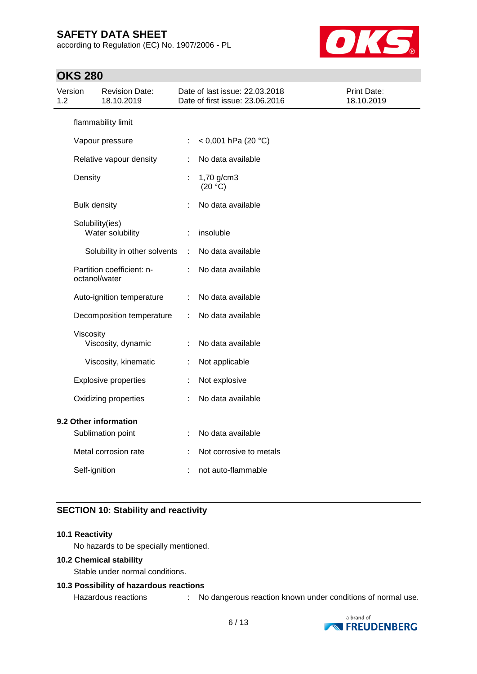according to Regulation (EC) No. 1907/2006 - PL



## **OKS 280**

| Version<br>1.2 | <b>Revision Date:</b><br>18.10.2019        |    | Date of last issue: 22.03.2018<br>Date of first issue: 23.06.2016 | Print Date:<br>18.10.2019 |
|----------------|--------------------------------------------|----|-------------------------------------------------------------------|---------------------------|
|                | flammability limit                         |    |                                                                   |                           |
|                | Vapour pressure                            | ÷. | < 0,001 hPa (20 $^{\circ}$ C)                                     |                           |
|                | Relative vapour density                    | ÷  | No data available                                                 |                           |
|                | Density                                    | t  | 1,70 g/cm3<br>(20 °C)                                             |                           |
|                | <b>Bulk density</b>                        |    | No data available                                                 |                           |
|                | Solubility(ies)<br>Water solubility        | ÷  | insoluble                                                         |                           |
|                | Solubility in other solvents               | ÷  | No data available                                                 |                           |
|                | Partition coefficient: n-<br>octanol/water |    | No data available                                                 |                           |
|                | Auto-ignition temperature                  | ÷  | No data available                                                 |                           |
|                | Decomposition temperature                  | ÷. | No data available                                                 |                           |
|                | Viscosity<br>Viscosity, dynamic            | ÷  | No data available                                                 |                           |
|                | Viscosity, kinematic                       | ÷  | Not applicable                                                    |                           |
|                | <b>Explosive properties</b>                | ÷  | Not explosive                                                     |                           |
|                | Oxidizing properties                       | ÷  | No data available                                                 |                           |
|                | 9.2 Other information<br>Sublimation point |    | No data available                                                 |                           |
|                | Metal corrosion rate                       |    | Not corrosive to metals                                           |                           |
|                | Self-ignition                              |    | not auto-flammable                                                |                           |

## **SECTION 10: Stability and reactivity**

### **10.1 Reactivity**

No hazards to be specially mentioned.

## **10.2 Chemical stability**

Stable under normal conditions.

## **10.3 Possibility of hazardous reactions**

Hazardous reactions : No dangerous reaction known under conditions of normal use.

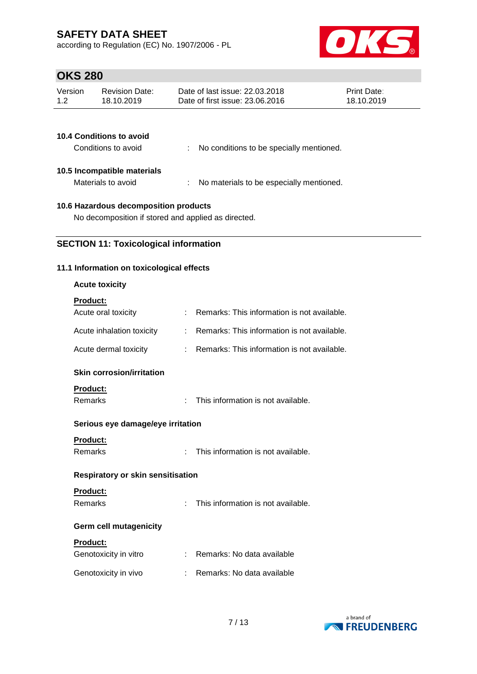according to Regulation (EC) No. 1907/2006 - PL



# **OKS 280**

| Version | <b>Revision Date:</b> | Date of last issue: 22.03.2018  | <b>Print Date:</b> |
|---------|-----------------------|---------------------------------|--------------------|
| 1.2     | 18.10.2019            | Date of first issue: 23,06,2016 | 18.10.2019         |
|         |                       |                                 |                    |

| <b>10.4 Conditions to avoid</b><br>Conditions to avoid | No conditions to be specially mentioned. |
|--------------------------------------------------------|------------------------------------------|
| 10.5 Incompatible materials<br>Materials to avoid      | No materials to be especially mentioned. |

## **10.6 Hazardous decomposition products**

No decomposition if stored and applied as directed.

## **SECTION 11: Toxicological information**

## **11.1 Information on toxicological effects**

## **Acute toxicity**

# **Product:**

|    | : Remarks: This information is not available.                                 |
|----|-------------------------------------------------------------------------------|
| t. | Remarks: This information is not available.                                   |
| t. | Remarks: This information is not available.                                   |
|    |                                                                               |
|    |                                                                               |
|    | This information is not available.                                            |
|    |                                                                               |
|    |                                                                               |
| t. | This information is not available.                                            |
|    |                                                                               |
|    |                                                                               |
|    | This information is not available.                                            |
|    |                                                                               |
|    |                                                                               |
| t. | Remarks: No data available                                                    |
| ÷. | Remarks: No data available                                                    |
|    | Serious eye damage/eye irritation<br><b>Respiratory or skin sensitisation</b> |

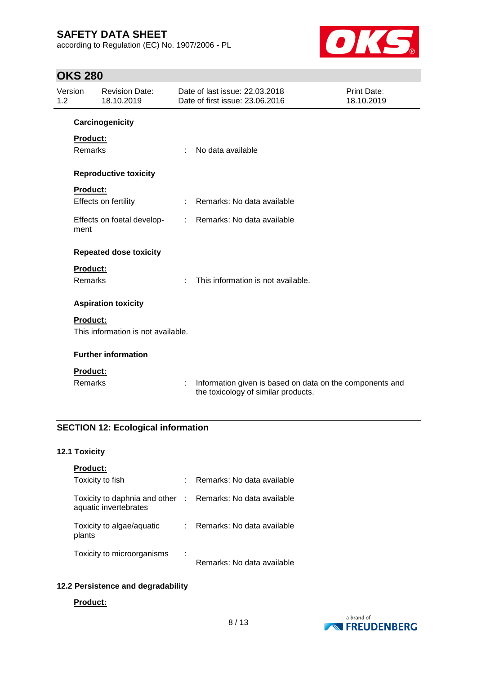according to Regulation (EC) No. 1907/2006 - PL



# **OKS 280**

| Version<br>1.2 |                 | <b>Revision Date:</b><br>18.10.2019 | Date of last issue: 22.03.2018<br><b>Print Date:</b><br>Date of first issue: 23.06.2016<br>18.10.2019 |                                                                                                 |  |
|----------------|-----------------|-------------------------------------|-------------------------------------------------------------------------------------------------------|-------------------------------------------------------------------------------------------------|--|
|                |                 | Carcinogenicity                     |                                                                                                       |                                                                                                 |  |
|                | Product:        |                                     |                                                                                                       |                                                                                                 |  |
|                | Remarks         |                                     | ÷                                                                                                     | No data available                                                                               |  |
|                |                 | <b>Reproductive toxicity</b>        |                                                                                                       |                                                                                                 |  |
|                | <b>Product:</b> |                                     |                                                                                                       |                                                                                                 |  |
|                |                 | Effects on fertility                | ÷                                                                                                     | Remarks: No data available                                                                      |  |
|                | ment            | Effects on foetal develop-          | $\mathcal{L}^{\text{max}}$                                                                            | Remarks: No data available                                                                      |  |
|                |                 | <b>Repeated dose toxicity</b>       |                                                                                                       |                                                                                                 |  |
|                | Product:        |                                     |                                                                                                       |                                                                                                 |  |
|                | <b>Remarks</b>  |                                     | ×                                                                                                     | This information is not available.                                                              |  |
|                |                 | <b>Aspiration toxicity</b>          |                                                                                                       |                                                                                                 |  |
|                | <b>Product:</b> |                                     |                                                                                                       |                                                                                                 |  |
|                |                 | This information is not available.  |                                                                                                       |                                                                                                 |  |
|                |                 | <b>Further information</b>          |                                                                                                       |                                                                                                 |  |
|                | Product:        |                                     |                                                                                                       |                                                                                                 |  |
|                | <b>Remarks</b>  |                                     | ÷                                                                                                     | Information given is based on data on the components and<br>the toxicology of similar products. |  |

## **SECTION 12: Ecological information**

## **12.1 Toxicity**

| <b>Product:</b>                                                                     |   |                            |
|-------------------------------------------------------------------------------------|---|----------------------------|
| Toxicity to fish                                                                    | ÷ | Remarks: No data available |
| Toxicity to daphnia and other : Remarks: No data available<br>aquatic invertebrates |   |                            |
| Toxicity to algae/aquatic<br>plants                                                 | ÷ | Remarks: No data available |
| Toxicity to microorganisms                                                          | ÷ | Remarks: No data available |

# **12.2 Persistence and degradability**

#### **Product:**

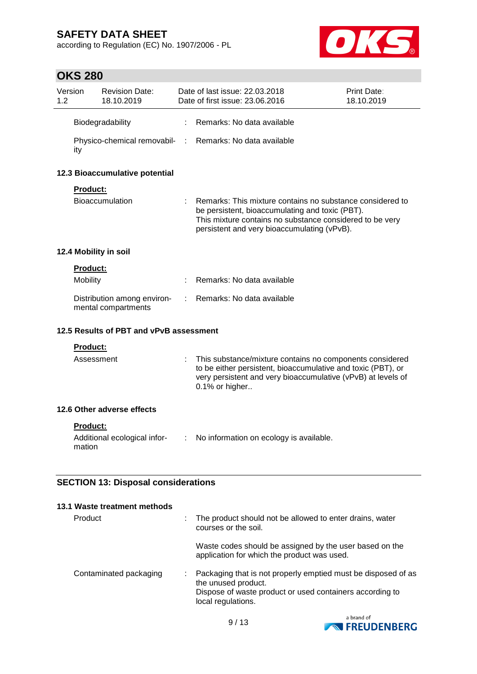according to Regulation (EC) No. 1907/2006 - PL



# **OKS 280**

| Version<br>1.2 |                 | <b>Revision Date:</b><br>18.10.2019                | Date of last issue: 22.03.2018<br>Date of first issue: 23.06.2016                                                                                                                                                       | Print Date:<br>18.10.2019 |
|----------------|-----------------|----------------------------------------------------|-------------------------------------------------------------------------------------------------------------------------------------------------------------------------------------------------------------------------|---------------------------|
|                |                 | Biodegradability                                   | Remarks: No data available                                                                                                                                                                                              |                           |
|                | ity             |                                                    | Physico-chemical removabil- : Remarks: No data available                                                                                                                                                                |                           |
|                |                 | 12.3 Bioaccumulative potential                     |                                                                                                                                                                                                                         |                           |
|                | Product:        |                                                    |                                                                                                                                                                                                                         |                           |
|                |                 | <b>Bioaccumulation</b>                             | Remarks: This mixture contains no substance considered to<br>be persistent, bioaccumulating and toxic (PBT).<br>This mixture contains no substance considered to be very<br>persistent and very bioaccumulating (vPvB). |                           |
|                |                 | 12.4 Mobility in soil                              |                                                                                                                                                                                                                         |                           |
|                | Product:        |                                                    |                                                                                                                                                                                                                         |                           |
|                | Mobility        |                                                    | Remarks: No data available                                                                                                                                                                                              |                           |
|                |                 | Distribution among environ-<br>mental compartments | Remarks: No data available                                                                                                                                                                                              |                           |
|                |                 | 12.5 Results of PBT and vPvB assessment            |                                                                                                                                                                                                                         |                           |
|                | Product:        |                                                    |                                                                                                                                                                                                                         |                           |
|                | Assessment      |                                                    | This substance/mixture contains no components considered<br>to be either persistent, bioaccumulative and toxic (PBT), or<br>very persistent and very bioaccumulative (vPvB) at levels of<br>0.1% or higher              |                           |
|                |                 | 12.6 Other adverse effects                         |                                                                                                                                                                                                                         |                           |
|                | <b>Product:</b> |                                                    |                                                                                                                                                                                                                         |                           |
|                | mation          | Additional ecological infor-                       | No information on ecology is available.                                                                                                                                                                                 |                           |
|                |                 |                                                    |                                                                                                                                                                                                                         |                           |
|                |                 | <b>SECTION 13: Disposal considerations</b>         |                                                                                                                                                                                                                         |                           |
|                |                 | 13.1 Waste treatment methods                       |                                                                                                                                                                                                                         |                           |
|                | Product         |                                                    | The product should not be allowed to enter drains, water<br>courses or the soil.                                                                                                                                        |                           |
|                |                 |                                                    | Waste codes should be assigned by the user based on the<br>application for which the product was used.                                                                                                                  |                           |

Contaminated packaging : Packaging that is not properly emptied must be disposed of as the unused product. Dispose of waste product or used containers according to local regulations.

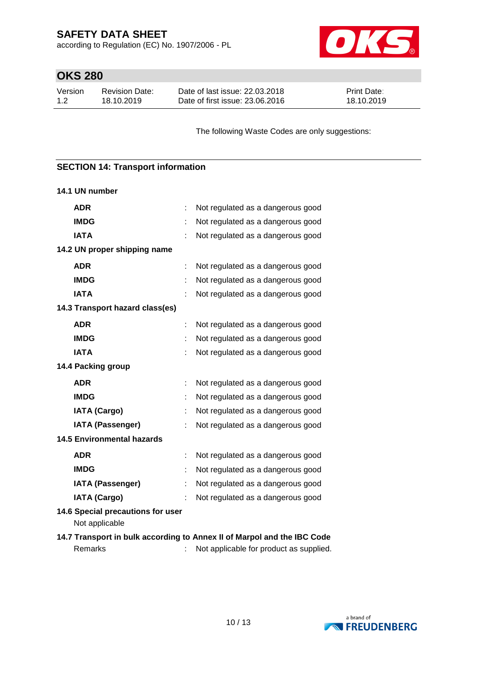according to Regulation (EC) No. 1907/2006 - PL



# **OKS 280**

| Version | <b>Revision Date:</b> | Date of last issue: 22.03.2018  | <b>Print Date:</b> |
|---------|-----------------------|---------------------------------|--------------------|
| 1.2     | 18.10.2019            | Date of first issue: 23,06,2016 | 18.10.2019         |

The following Waste Codes are only suggestions:

## **SECTION 14: Transport information**

| 14.1 UN number                                                          |   |                                         |  |  |  |
|-------------------------------------------------------------------------|---|-----------------------------------------|--|--|--|
| <b>ADR</b>                                                              |   | Not regulated as a dangerous good       |  |  |  |
| <b>IMDG</b>                                                             |   | Not regulated as a dangerous good       |  |  |  |
| <b>IATA</b>                                                             |   | Not regulated as a dangerous good       |  |  |  |
| 14.2 UN proper shipping name                                            |   |                                         |  |  |  |
| <b>ADR</b>                                                              |   | Not regulated as a dangerous good       |  |  |  |
| <b>IMDG</b>                                                             |   | Not regulated as a dangerous good       |  |  |  |
| <b>IATA</b>                                                             |   | Not regulated as a dangerous good       |  |  |  |
| 14.3 Transport hazard class(es)                                         |   |                                         |  |  |  |
| <b>ADR</b>                                                              | ÷ | Not regulated as a dangerous good       |  |  |  |
| <b>IMDG</b>                                                             |   | Not regulated as a dangerous good       |  |  |  |
| <b>IATA</b>                                                             |   | Not regulated as a dangerous good       |  |  |  |
| 14.4 Packing group                                                      |   |                                         |  |  |  |
| <b>ADR</b>                                                              |   | Not regulated as a dangerous good       |  |  |  |
| <b>IMDG</b>                                                             |   | Not regulated as a dangerous good       |  |  |  |
| <b>IATA (Cargo)</b>                                                     |   | Not regulated as a dangerous good       |  |  |  |
| <b>IATA (Passenger)</b>                                                 |   | Not regulated as a dangerous good       |  |  |  |
| <b>14.5 Environmental hazards</b>                                       |   |                                         |  |  |  |
| <b>ADR</b>                                                              |   | Not regulated as a dangerous good       |  |  |  |
| <b>IMDG</b>                                                             |   | Not regulated as a dangerous good       |  |  |  |
| <b>IATA (Passenger)</b>                                                 |   | Not regulated as a dangerous good       |  |  |  |
| <b>IATA (Cargo)</b>                                                     |   | Not regulated as a dangerous good       |  |  |  |
| 14.6 Special precautions for user<br>Not applicable                     |   |                                         |  |  |  |
| 14.7 Transport in bulk according to Annex II of Marpol and the IBC Code |   |                                         |  |  |  |
| Remarks                                                                 |   | Not applicable for product as supplied. |  |  |  |

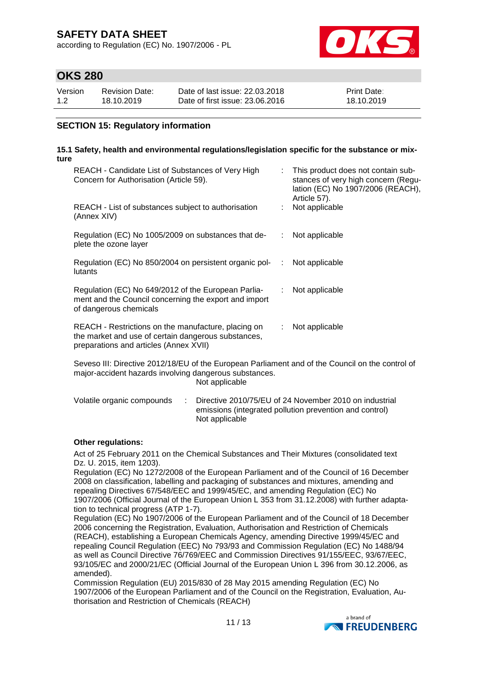according to Regulation (EC) No. 1907/2006 - PL



## **OKS 280**

| Version | Revision Date: | Date of last issue: 22,03,2018  | <b>Print Date:</b> |
|---------|----------------|---------------------------------|--------------------|
| 1.2     | 18.10.2019     | Date of first issue: 23,06,2016 | 18.10.2019         |

## **SECTION 15: Regulatory information**

#### **15.1 Safety, health and environmental regulations/legislation specific for the substance or mixture**

| REACH - Candidate List of Substances of Very High<br>Concern for Authorisation (Article 59).                                                         |    | : This product does not contain sub-<br>stances of very high concern (Regu-<br>lation (EC) No 1907/2006 (REACH),<br>Article 57). |
|------------------------------------------------------------------------------------------------------------------------------------------------------|----|----------------------------------------------------------------------------------------------------------------------------------|
| REACH - List of substances subject to authorisation<br>(Annex XIV)                                                                                   |    | Not applicable                                                                                                                   |
| Regulation (EC) No 1005/2009 on substances that de-<br>plete the ozone layer                                                                         | ÷. | Not applicable                                                                                                                   |
| Regulation (EC) No 850/2004 on persistent organic pol-<br>lutants                                                                                    | ÷  | Not applicable                                                                                                                   |
| Regulation (EC) No 649/2012 of the European Parlia-<br>ment and the Council concerning the export and import<br>of dangerous chemicals               | ÷. | Not applicable                                                                                                                   |
| REACH - Restrictions on the manufacture, placing on<br>the market and use of certain dangerous substances,<br>preparations and articles (Annex XVII) | ÷. | Not applicable                                                                                                                   |

Seveso III: Directive 2012/18/EU of the European Parliament and of the Council on the control of major-accident hazards involving dangerous substances. Not applicable

| Volatile organic compounds | : Directive 2010/75/EU of 24 November 2010 on industrial |
|----------------------------|----------------------------------------------------------|
|                            | emissions (integrated pollution prevention and control)  |
|                            | Not applicable                                           |

### **Other regulations:**

Act of 25 February 2011 on the Chemical Substances and Their Mixtures (consolidated text Dz. U. 2015, item 1203).

Regulation (EC) No 1272/2008 of the European Parliament and of the Council of 16 December 2008 on classification, labelling and packaging of substances and mixtures, amending and repealing Directives 67/548/EEC and 1999/45/EC, and amending Regulation (EC) No 1907/2006 (Official Journal of the European Union L 353 from 31.12.2008) with further adaptation to technical progress (ATP 1-7).

Regulation (EC) No 1907/2006 of the European Parliament and of the Council of 18 December 2006 concerning the Registration, Evaluation, Authorisation and Restriction of Chemicals (REACH), establishing a European Chemicals Agency, amending Directive 1999/45/EC and repealing Council Regulation (EEC) No 793/93 and Commission Regulation (EC) No 1488/94 as well as Council Directive 76/769/EEC and Commission Directives 91/155/EEC, 93/67/EEC, 93/105/EC and 2000/21/EC (Official Journal of the European Union L 396 from 30.12.2006, as amended).

Commission Regulation (EU) 2015/830 of 28 May 2015 amending Regulation (EC) No 1907/2006 of the European Parliament and of the Council on the Registration, Evaluation, Authorisation and Restriction of Chemicals (REACH)

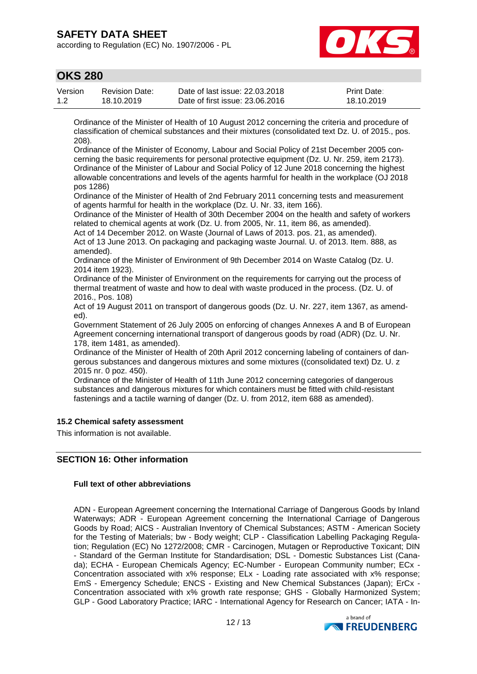according to Regulation (EC) No. 1907/2006 - PL



## **OKS 280**

| Version | Revision Date: | Date of last issue: 22,03,2018  | <b>Print Date:</b> |
|---------|----------------|---------------------------------|--------------------|
| 1.2     | 18.10.2019     | Date of first issue: 23,06,2016 | 18.10.2019         |

Ordinance of the Minister of Health of 10 August 2012 concerning the criteria and procedure of classification of chemical substances and their mixtures (consolidated text Dz. U. of 2015., pos. 208).

Ordinance of the Minister of Economy, Labour and Social Policy of 21st December 2005 concerning the basic requirements for personal protective equipment (Dz. U. Nr. 259, item 2173). Ordinance of the Minister of Labour and Social Policy of 12 June 2018 concerning the highest allowable concentrations and levels of the agents harmful for health in the workplace (OJ 2018 pos 1286)

Ordinance of the Minister of Health of 2nd February 2011 concerning tests and measurement of agents harmful for health in the workplace (Dz. U. Nr. 33, item 166).

Ordinance of the Minister of Health of 30th December 2004 on the health and safety of workers related to chemical agents at work (Dz. U. from 2005, Nr. 11, item 86, as amended).

Act of 14 December 2012. on Waste (Journal of Laws of 2013. pos. 21, as amended). Act of 13 June 2013. On packaging and packaging waste Journal. U. of 2013. Item. 888, as amended).

Ordinance of the Minister of Environment of 9th December 2014 on Waste Catalog (Dz. U. 2014 item 1923).

Ordinance of the Minister of Environment on the requirements for carrying out the process of thermal treatment of waste and how to deal with waste produced in the process. (Dz. U. of 2016., Pos. 108)

Act of 19 August 2011 on transport of dangerous goods (Dz. U. Nr. 227, item 1367, as amended).

Government Statement of 26 July 2005 on enforcing of changes Annexes A and B of European Agreement concerning international transport of dangerous goods by road (ADR) (Dz. U. Nr. 178, item 1481, as amended).

Ordinance of the Minister of Health of 20th April 2012 concerning labeling of containers of dangerous substances and dangerous mixtures and some mixtures ((consolidated text) Dz. U. z 2015 nr. 0 poz. 450).

Ordinance of the Minister of Health of 11th June 2012 concerning categories of dangerous substances and dangerous mixtures for which containers must be fitted with child-resistant fastenings and a tactile warning of danger (Dz. U. from 2012, item 688 as amended).

### **15.2 Chemical safety assessment**

This information is not available.

## **SECTION 16: Other information**

### **Full text of other abbreviations**

ADN - European Agreement concerning the International Carriage of Dangerous Goods by Inland Waterways; ADR - European Agreement concerning the International Carriage of Dangerous Goods by Road; AICS - Australian Inventory of Chemical Substances; ASTM - American Society for the Testing of Materials; bw - Body weight; CLP - Classification Labelling Packaging Regulation; Regulation (EC) No 1272/2008; CMR - Carcinogen, Mutagen or Reproductive Toxicant; DIN - Standard of the German Institute for Standardisation; DSL - Domestic Substances List (Canada); ECHA - European Chemicals Agency; EC-Number - European Community number; ECx - Concentration associated with x% response; ELx - Loading rate associated with x% response; EmS - Emergency Schedule; ENCS - Existing and New Chemical Substances (Japan); ErCx - Concentration associated with x% growth rate response; GHS - Globally Harmonized System; GLP - Good Laboratory Practice; IARC - International Agency for Research on Cancer; IATA - In-